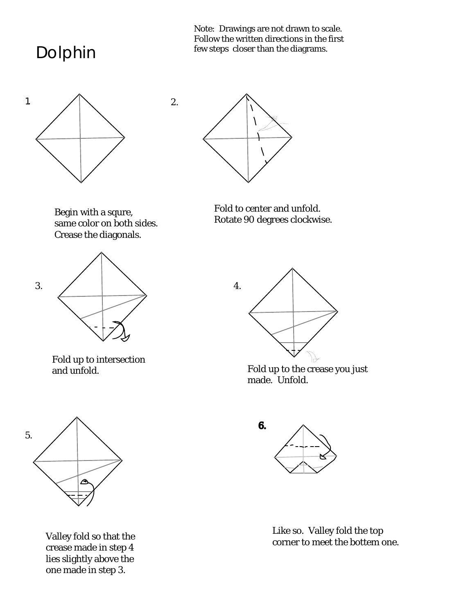Dolphin

Note: Drawings are not drawn to scale. Follow the written directions in the first few steps closer than the diagrams.





2.

Begin with a squre, same color on both sides. Crease the diagonals.



Fold up to intersection and unfold.





Fold up to the crease you just made. Unfold.



Valley fold so that the crease made in step 4 lies slightly above the one made in step 3.



Like so. Valley fold the top corner to meet the bottem one.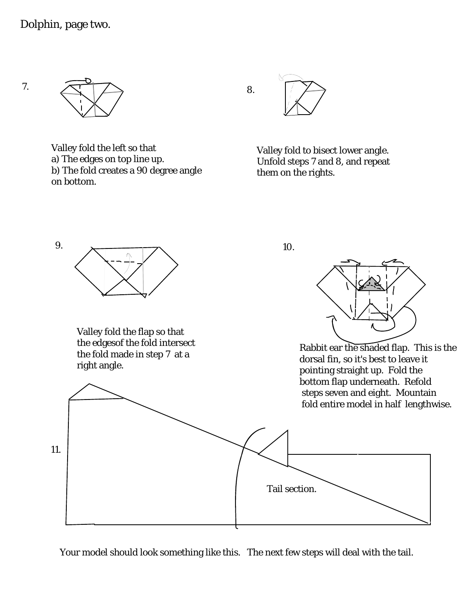7.



Valley fold the left so that a) The edges on top line up. b) The fold creates a 90 degree angle on bottom.



8.

Valley fold to bisect lower angle. Unfold steps 7 and 8, and repeat them on the rights.

10.



Your model should look something like this. The next few steps will deal with the tail.

9.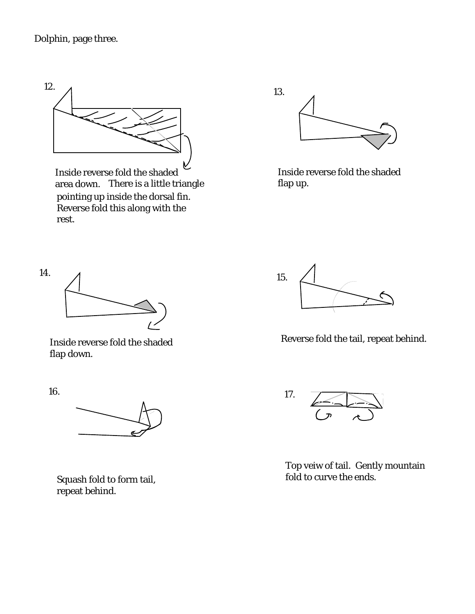## Dolphin, page three.



Inside reverse fold the shaded area down. There is a little triangle pointing up inside the dorsal fin. Reverse fold this along with the rest.



Inside reverse fold the shaded flap up.



Inside reverse fold the shaded flap down.

16.



Reverse fold the tail, repeat behind.



Top veiw of tail. Gently mountain fold to curve the ends.



Squash fold to form tail, repeat behind.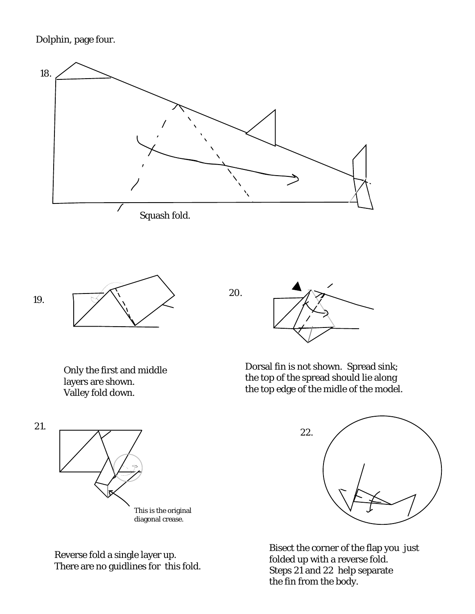Dolphin, page four.



20.



Only the first and middle layers are shown. Valley fold down.



Dorsal fin is not shown. Spread sink; the top of the spread should lie along the top edge of the midle of the model.



Bisect the corner of the flap you just folded up with a reverse fold. Steps 21 and 22 help separate the fin from the body.





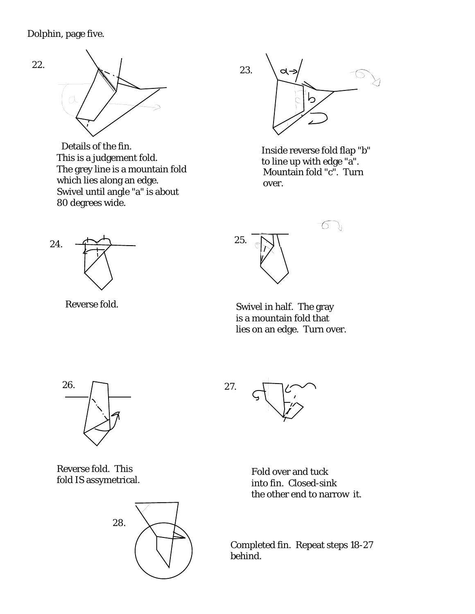

This is a judgement fold. The grey line is a mountain fold which lies along an edge. Swivel until angle "a" is about 80 degrees wide. Details of the fin.<br>
Inside reverse fold flap "b"



to line up with edge "a". Mountain fold "c". Turn over.



Reverse fold.

 $\widehat{\bigcirc}$ 25.

Swivel in half. The gray is a mountain fold that lies on an edge. Turn over.



Reverse fold. This fold IS assymetrical.



27.

Fold over and tuck into fin. Closed-sink the other end to narrow it.

Completed fin. Repeat steps 18-27 behind.